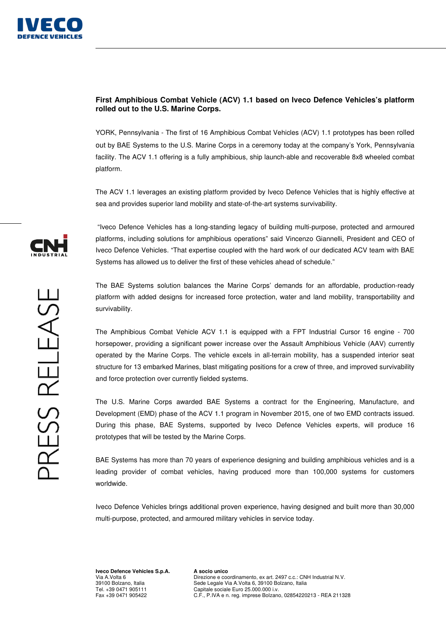

## **First Amphibious Combat Vehicle (ACV) 1.1 based on Iveco Defence Vehicles's platform rolled out to the U.S. Marine Corps.**

YORK, Pennsylvania - The first of 16 Amphibious Combat Vehicles (ACV) 1.1 prototypes has been rolled out by BAE Systems to the U.S. Marine Corps in a ceremony today at the company's York, Pennsylvania facility. The ACV 1.1 offering is a fully amphibious, ship launch-able and recoverable 8x8 wheeled combat platform.

The ACV 1.1 leverages an existing platform provided by Iveco Defence Vehicles that is highly effective at sea and provides superior land mobility and state-of-the-art systems survivability.

 "Iveco Defence Vehicles has a long-standing legacy of building multi-purpose, protected and armoured platforms, including solutions for amphibious operations" said Vincenzo Giannelli, President and CEO of Iveco Defence Vehicles. "That expertise coupled with the hard work of our dedicated ACV team with BAE Systems has allowed us to deliver the first of these vehicles ahead of schedule."

The BAE Systems solution balances the Marine Corps' demands for an affordable, production-ready platform with added designs for increased force protection, water and land mobility, transportability and survivability.

The Amphibious Combat Vehicle ACV 1.1 is equipped with a FPT Industrial Cursor 16 engine - 700 horsepower, providing a significant power increase over the Assault Amphibious Vehicle (AAV) currently operated by the Marine Corps. The vehicle excels in all-terrain mobility, has a suspended interior seat structure for 13 embarked Marines, blast mitigating positions for a crew of three, and improved survivability and force protection over currently fielded systems.

The U.S. Marine Corps awarded BAE Systems a contract for the Engineering, Manufacture, and Development (EMD) phase of the ACV 1.1 program in November 2015, one of two EMD contracts issued. During this phase, BAE Systems, supported by Iveco Defence Vehicles experts, will produce 16 prototypes that will be tested by the Marine Corps.

BAE Systems has more than 70 years of experience designing and building amphibious vehicles and is a leading provider of combat vehicles, having produced more than 100,000 systems for customers worldwide.

Iveco Defence Vehicles brings additional proven experience, having designed and built more than 30,000 multi-purpose, protected, and armoured military vehicles in service today.

**Iveco Defence Vehicles S.p.A.**  Via A.Volta 6 39100 Bolzano, Italia Tel. +39 0471 905111 Fax +39 0471 905422

**A socio unico**  Direzione e coordinamento, ex art. 2497 c.c.: CNH Industrial N.V. Sede Legale Via A.Volta 6, 39100 Bolzano, Italia Capitale sociale Euro 25.000.000 i.v. C.F., P.IVA e n. reg. imprese Bolzano, 02854220213 - REA 211328